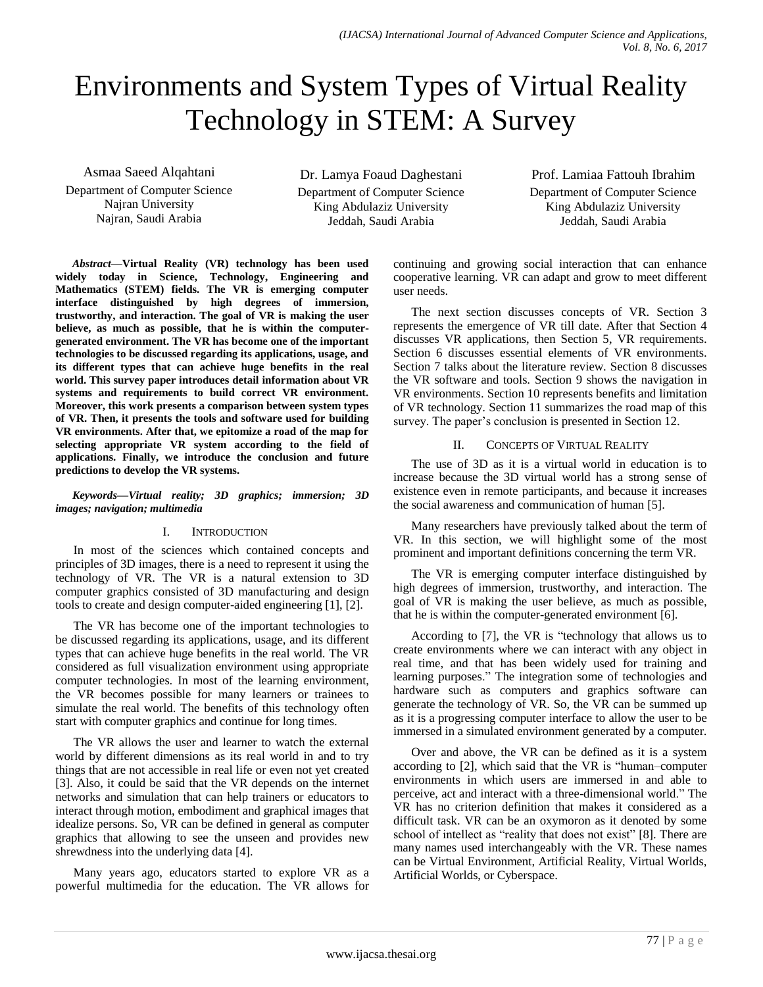# Environments and System Types of Virtual Reality Technology in STEM: A Survey

Asmaa Saeed Alqahtani Department of Computer Science Najran University Najran, Saudi Arabia

Dr. Lamya Foaud Daghestani Department of Computer Science King Abdulaziz University Jeddah, Saudi Arabia

Prof. Lamiaa Fattouh Ibrahim Department of Computer Science King Abdulaziz University Jeddah, Saudi Arabia

*Abstract***—Virtual Reality (VR) technology has been used widely today in Science, Technology, Engineering and Mathematics (STEM) fields. The VR is emerging computer interface distinguished by high degrees of immersion, trustworthy, and interaction. The goal of VR is making the user believe, as much as possible, that he is within the computergenerated environment. The VR has become one of the important technologies to be discussed regarding its applications, usage, and its different types that can achieve huge benefits in the real world. This survey paper introduces detail information about VR systems and requirements to build correct VR environment. Moreover, this work presents a comparison between system types of VR. Then, it presents the tools and software used for building VR environments. After that, we epitomize a road of the map for selecting appropriate VR system according to the field of applications. Finally, we introduce the conclusion and future predictions to develop the VR systems.**

#### *Keywords—Virtual reality; 3D graphics; immersion; 3D images; navigation; multimedia*

#### I. INTRODUCTION

In most of the sciences which contained concepts and principles of 3D images, there is a need to represent it using the technology of VR. The VR is a natural extension to 3D computer graphics consisted of 3D manufacturing and design tools to create and design computer-aided engineering [1], [2].

The VR has become one of the important technologies to be discussed regarding its applications, usage, and its different types that can achieve huge benefits in the real world. The VR considered as full visualization environment using appropriate computer technologies. In most of the learning environment, the VR becomes possible for many learners or trainees to simulate the real world. The benefits of this technology often start with computer graphics and continue for long times.

The VR allows the user and learner to watch the external world by different dimensions as its real world in and to try things that are not accessible in real life or even not yet created [3]. Also, it could be said that the VR depends on the internet networks and simulation that can help trainers or educators to interact through motion, embodiment and graphical images that idealize persons. So, VR can be defined in general as computer graphics that allowing to see the unseen and provides new shrewdness into the underlying data [4].

Many years ago, educators started to explore VR as a powerful multimedia for the education. The VR allows for continuing and growing social interaction that can enhance cooperative learning. VR can adapt and grow to meet different user needs.

The next section discusses concepts of VR. Section 3 represents the emergence of VR till date. After that Section 4 discusses VR applications, then Section 5, VR requirements. Section 6 discusses essential elements of VR environments. Section 7 talks about the literature review. Section 8 discusses the VR software and tools. Section 9 shows the navigation in VR environments. Section 10 represents benefits and limitation of VR technology. Section 11 summarizes the road map of this survey. The paper's conclusion is presented in Section 12.

## II. CONCEPTS OF VIRTUAL REALITY

The use of 3D as it is a virtual world in education is to increase because the 3D virtual world has a strong sense of existence even in remote participants, and because it increases the social awareness and communication of human [5].

Many researchers have previously talked about the term of VR. In this section, we will highlight some of the most prominent and important definitions concerning the term VR.

The VR is emerging computer interface distinguished by high degrees of immersion, trustworthy, and interaction. The goal of VR is making the user believe, as much as possible, that he is within the computer-generated environment [6].

According to [7], the VR is "technology that allows us to create environments where we can interact with any object in real time, and that has been widely used for training and learning purposes." The integration some of technologies and hardware such as computers and graphics software can generate the technology of VR. So, the VR can be summed up as it is a progressing computer interface to allow the user to be immersed in a simulated environment generated by a computer.

Over and above, the VR can be defined as it is a system according to [2], which said that the VR is "human–computer environments in which users are immersed in and able to perceive, act and interact with a three-dimensional world." The VR has no criterion definition that makes it considered as a difficult task. VR can be an oxymoron as it denoted by some school of intellect as "reality that does not exist" [8]. There are many names used interchangeably with the VR. These names can be Virtual Environment, Artificial Reality, Virtual Worlds, Artificial Worlds, or Cyberspace.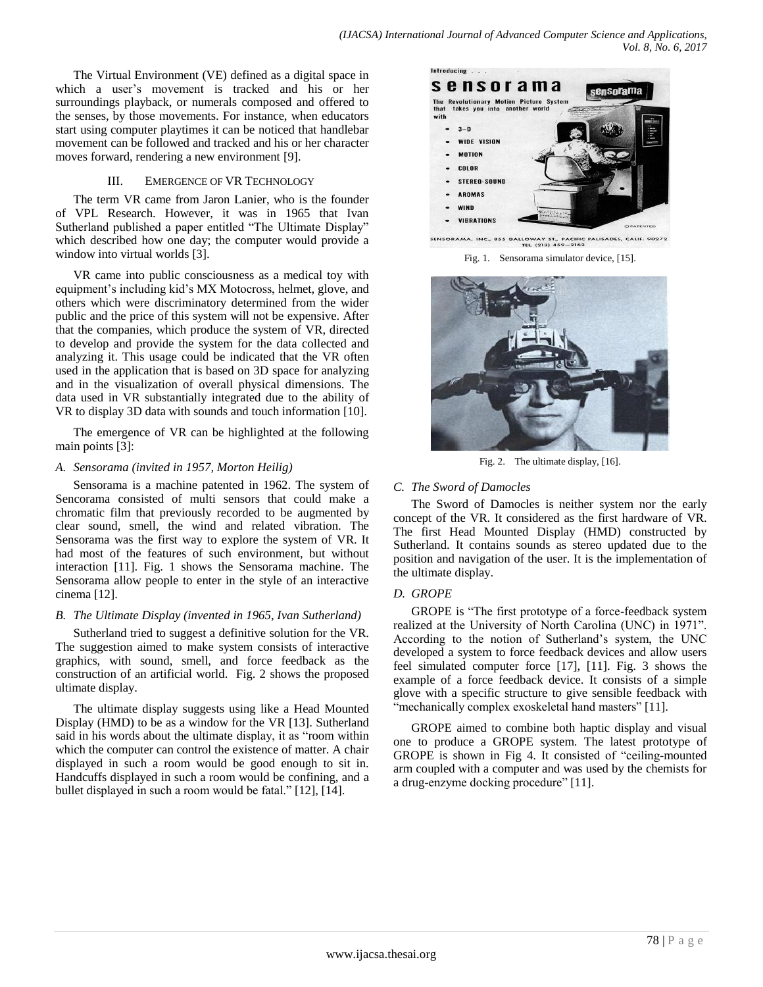The Virtual Environment (VE) defined as a digital space in which a user's movement is tracked and his or her surroundings playback, or numerals composed and offered to the senses, by those movements. For instance, when educators start using computer playtimes it can be noticed that handlebar movement can be followed and tracked and his or her character moves forward, rendering a new environment [9].

#### III. EMERGENCE OF VR TECHNOLOGY

The term VR came from Jaron Lanier, who is the founder of VPL Research. However, it was in 1965 that Ivan Sutherland published a paper entitled "The Ultimate Display" which described how one day; the computer would provide a window into virtual worlds [3].

VR came into public consciousness as a medical toy with equipment's including kid's MX Motocross, helmet, glove, and others which were discriminatory determined from the wider public and the price of this system will not be expensive. After that the companies, which produce the system of VR, directed to develop and provide the system for the data collected and analyzing it. This usage could be indicated that the VR often used in the application that is based on 3D space for analyzing and in the visualization of overall physical dimensions. The data used in VR substantially integrated due to the ability of VR to display 3D data with sounds and touch information [10].

The emergence of VR can be highlighted at the following main points [3]:

#### *A. Sensorama (invited in 1957, Morton Heilig)*

Sensorama is a machine patented in 1962. The system of Sencorama consisted of multi sensors that could make a chromatic film that previously recorded to be augmented by clear sound, smell, the wind and related vibration. The Sensorama was the first way to explore the system of VR. It had most of the features of such environment, but without interaction [11]. Fig. 1 shows the Sensorama machine. The Sensorama allow people to enter in the style of an interactive cinema [12].

## *B. The Ultimate Display (invented in 1965, Ivan Sutherland)*

Sutherland tried to suggest a definitive solution for the VR. The suggestion aimed to make system consists of interactive graphics, with sound, smell, and force feedback as the construction of an artificial world. Fig. 2 shows the proposed ultimate display.

The ultimate display suggests using like a Head Mounted Display (HMD) to be as a window for the VR [13]. Sutherland said in his words about the ultimate display, it as "room within which the computer can control the existence of matter. A chair displayed in such a room would be good enough to sit in. Handcuffs displayed in such a room would be confining, and a bullet displayed in such a room would be fatal." [12], [14].



SENSORAMA, INC., 855 LLOWAY ST., PACIFIC PALISADES, CALIF. 90272<br>TEL. (213) 459–2162

Fig. 1. Sensorama simulator device, [15].



Fig. 2. The ultimate display, [16].

## *C. The Sword of Damocles*

The Sword of Damocles is neither system nor the early concept of the VR. It considered as the first hardware of VR. The first Head Mounted Display (HMD) constructed by Sutherland. It contains sounds as stereo updated due to the position and navigation of the user. It is the implementation of the ultimate display.

#### *D. GROPE*

GROPE is "The first prototype of a force-feedback system realized at the University of North Carolina (UNC) in 1971". According to the notion of Sutherland's system, the UNC developed a system to force feedback devices and allow users feel simulated computer force [17], [11]. Fig. 3 shows the example of a force feedback device. It consists of a simple glove with a specific structure to give sensible feedback with "mechanically complex exoskeletal hand masters" [11].

GROPE aimed to combine both haptic display and visual one to produce a GROPE system. The latest prototype of GROPE is shown in Fig 4. It consisted of "ceiling-mounted arm coupled with a computer and was used by the chemists for a drug-enzyme docking procedure" [11].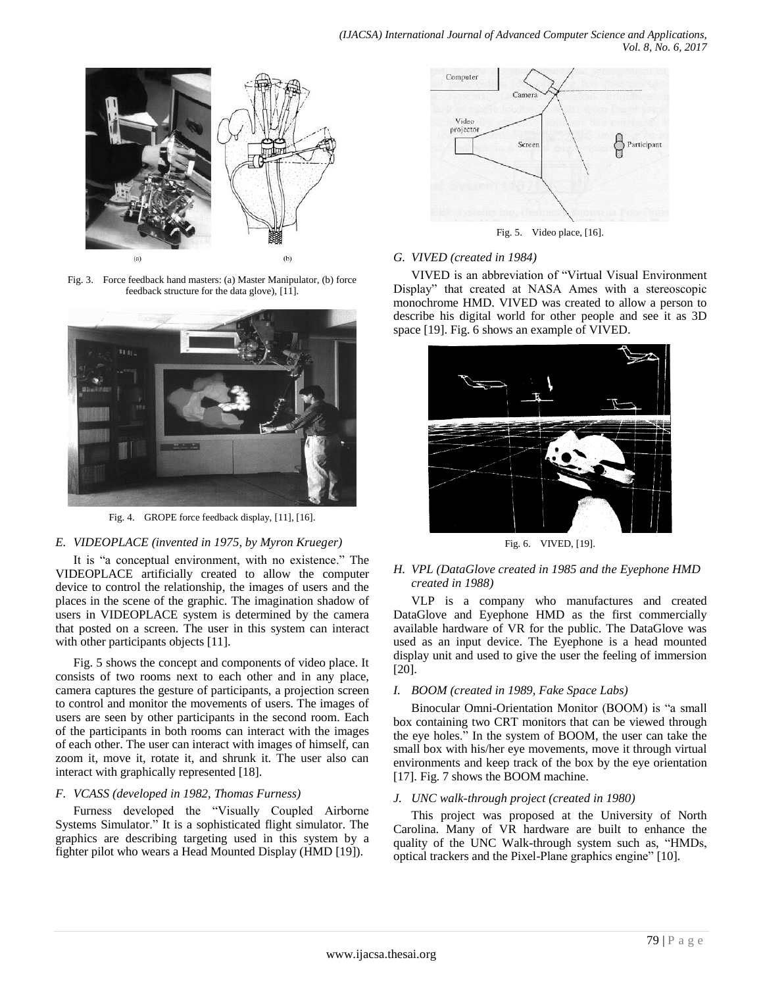

Fig. 3. Force feedback hand masters: (a) Master Manipulator, (b) force feedback structure for the data glove), [11].



Fig. 4. GROPE force feedback display, [11], [16].

#### *E. VIDEOPLACE (invented in 1975, by Myron Krueger)*

It is "a conceptual environment, with no existence." The VIDEOPLACE artificially created to allow the computer device to control the relationship, the images of users and the places in the scene of the graphic. The imagination shadow of users in VIDEOPLACE system is determined by the camera that posted on a screen. The user in this system can interact with other participants objects [11].

Fig. 5 shows the concept and components of video place. It consists of two rooms next to each other and in any place, camera captures the gesture of participants, a projection screen to control and monitor the movements of users. The images of users are seen by other participants in the second room. Each of the participants in both rooms can interact with the images of each other. The user can interact with images of himself, can zoom it, move it, rotate it, and shrunk it. The user also can interact with graphically represented [18].

## *F. VCASS (developed in 1982, Thomas Furness)*

Furness developed the "Visually Coupled Airborne Systems Simulator." It is a sophisticated flight simulator. The graphics are describing targeting used in this system by a fighter pilot who wears a Head Mounted Display (HMD [19]).



Fig. 5. Video place, [16].

## *G. VIVED (created in 1984)*

VIVED is an abbreviation of "Virtual Visual Environment Display" that created at NASA Ames with a stereoscopic monochrome HMD. VIVED was created to allow a person to describe his digital world for other people and see it as 3D space [19]. Fig. 6 shows an example of VIVED.



Fig. 6. VIVED, [19].

## *H. VPL (DataGlove created in 1985 and the Eyephone HMD created in 1988)*

VLP is a company who manufactures and created DataGlove and Eyephone HMD as the first commercially available hardware of VR for the public. The DataGlove was used as an input device. The Eyephone is a head mounted display unit and used to give the user the feeling of immersion [20].

## *I. BOOM (created in 1989, Fake Space Labs)*

Binocular Omni-Orientation Monitor (BOOM) is "a small box containing two CRT monitors that can be viewed through the eye holes." In the system of BOOM, the user can take the small box with his/her eye movements, move it through virtual environments and keep track of the box by the eye orientation [17]. Fig. 7 shows the BOOM machine.

#### *J. UNC walk-through project (created in 1980)*

This project was proposed at the University of North Carolina. Many of VR hardware are built to enhance the quality of the UNC Walk-through system such as, "HMDs, optical trackers and the Pixel-Plane graphics engine" [10].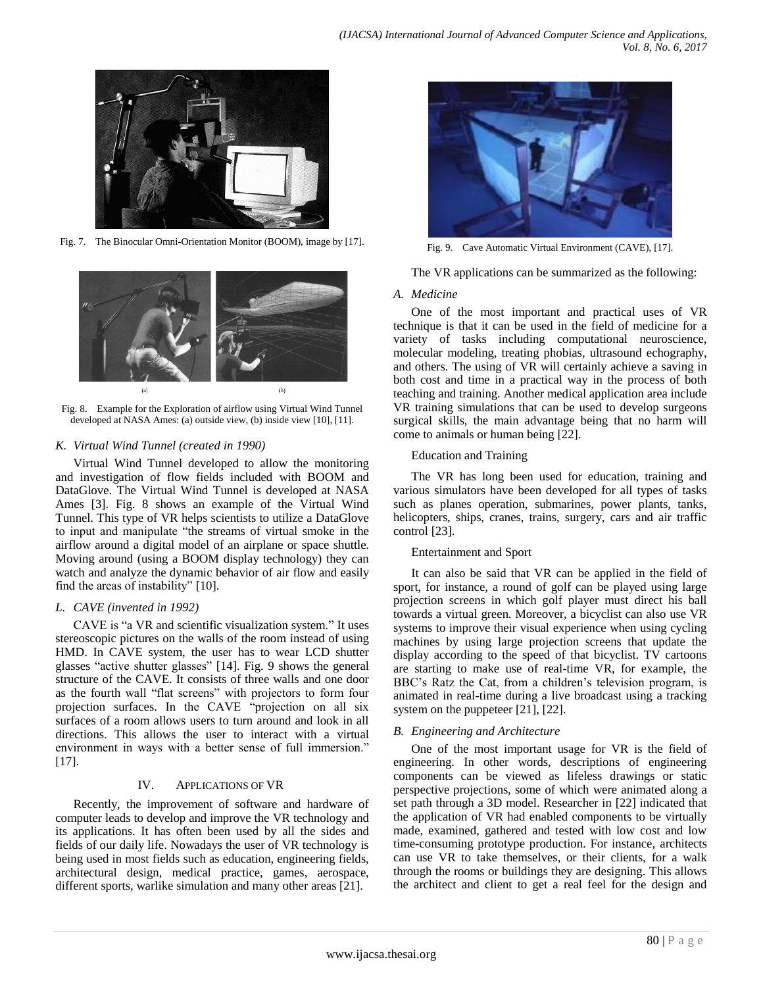

Fig. 7. The Binocular Omni-Orientation Monitor (BOOM), image by [17].



Fig. 8. Example for the Exploration of airflow using Virtual Wind Tunnel developed at NASA Ames: (a) outside view, (b) inside view [10], [11].

## *K. Virtual Wind Tunnel (created in 1990)*

Virtual Wind Tunnel developed to allow the monitoring and investigation of flow fields included with BOOM and DataGlove. The Virtual Wind Tunnel is developed at NASA Ames [3]. Fig. 8 shows an example of the Virtual Wind Tunnel. This type of VR helps scientists to utilize a DataGlove to input and manipulate "the streams of virtual smoke in the airflow around a digital model of an airplane or space shuttle. Moving around (using a BOOM display technology) they can watch and analyze the dynamic behavior of air flow and easily find the areas of instability" [10].

## *L. CAVE (invented in 1992)*

CAVE is "a VR and scientific visualization system." It uses stereoscopic pictures on the walls of the room instead of using HMD. In CAVE system, the user has to wear LCD shutter glasses "active shutter glasses" [14]. Fig. 9 shows the general structure of the CAVE. It consists of three walls and one door as the fourth wall "flat screens" with projectors to form four projection surfaces. In the CAVE "projection on all six surfaces of a room allows users to turn around and look in all directions. This allows the user to interact with a virtual environment in ways with a better sense of full immersion." [17].

#### IV. APPLICATIONS OF VR

Recently, the improvement of software and hardware of computer leads to develop and improve the VR technology and its applications. It has often been used by all the sides and fields of our daily life. Nowadays the user of VR technology is being used in most fields such as education, engineering fields, architectural design, medical practice, games, aerospace, different sports, warlike simulation and many other areas [21].



Fig. 9. Cave Automatic Virtual Environment (CAVE), [17].

The VR applications can be summarized as the following:

## *A. Medicine*

One of the most important and practical uses of VR technique is that it can be used in the field of medicine for a variety of tasks including computational neuroscience, molecular modeling, treating phobias, ultrasound echography, and others. The using of VR will certainly achieve a saving in both cost and time in a practical way in the process of both teaching and training. Another medical application area include VR training simulations that can be used to develop surgeons surgical skills, the main advantage being that no harm will come to animals or human being [22].

## Education and Training

The VR has long been used for education, training and various simulators have been developed for all types of tasks such as planes operation, submarines, power plants, tanks, helicopters, ships, cranes, trains, surgery, cars and air traffic control [23].

## Entertainment and Sport

It can also be said that VR can be applied in the field of sport, for instance, a round of golf can be played using large projection screens in which golf player must direct his ball towards a virtual green. Moreover, a bicyclist can also use VR systems to improve their visual experience when using cycling machines by using large projection screens that update the display according to the speed of that bicyclist. TV cartoons are starting to make use of real-time VR, for example, the BBC's Ratz the Cat, from a children's television program, is animated in real-time during a live broadcast using a tracking system on the puppeteer [21], [22].

## *B. Engineering and Architecture*

One of the most important usage for VR is the field of engineering. In other words, descriptions of engineering components can be viewed as lifeless drawings or static perspective projections, some of which were animated along a set path through a 3D model. Researcher in [22] indicated that the application of VR had enabled components to be virtually made, examined, gathered and tested with low cost and low time-consuming prototype production. For instance, architects can use VR to take themselves, or their clients, for a walk through the rooms or buildings they are designing. This allows the architect and client to get a real feel for the design and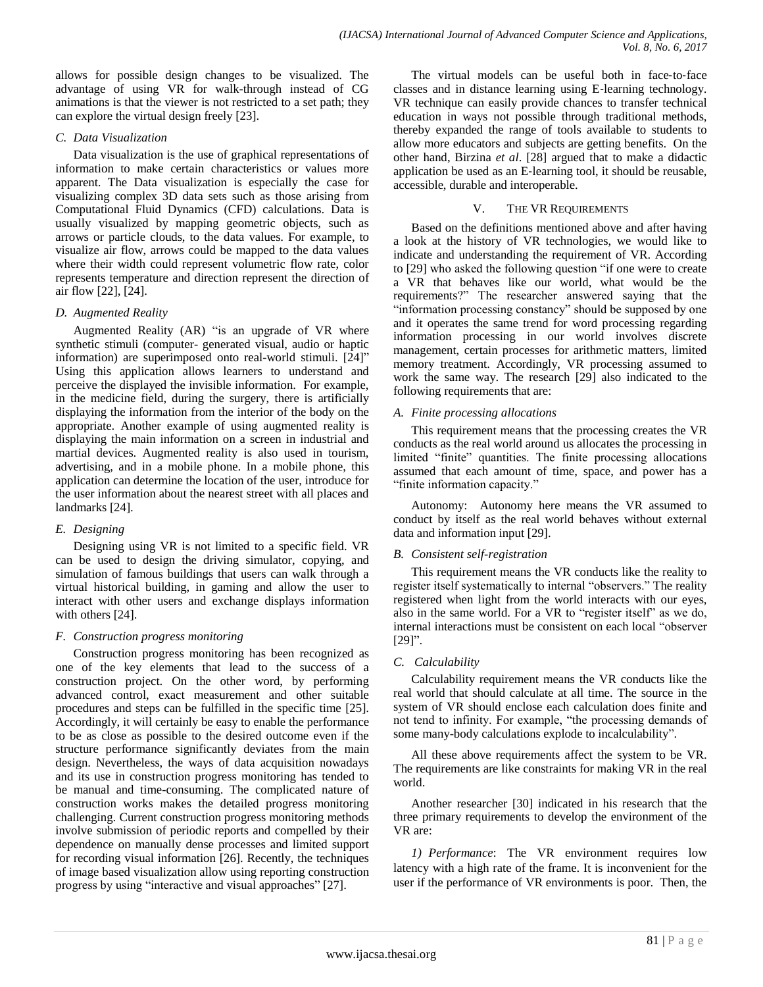allows for possible design changes to be visualized. The advantage of using VR for walk-through instead of CG animations is that the viewer is not restricted to a set path; they can explore the virtual design freely [23].

#### *C. Data Visualization*

Data visualization is the use of graphical representations of information to make certain characteristics or values more apparent. The Data visualization is especially the case for visualizing complex 3D data sets such as those arising from Computational Fluid Dynamics (CFD) calculations. Data is usually visualized by mapping geometric objects, such as arrows or particle clouds, to the data values. For example, to visualize air flow, arrows could be mapped to the data values where their width could represent volumetric flow rate, color represents temperature and direction represent the direction of air flow [22], [24].

## *D. Augmented Reality*

Augmented Reality (AR) "is an upgrade of VR where synthetic stimuli (computer- generated visual, audio or haptic information) are superimposed onto real-world stimuli. [24]" Using this application allows learners to understand and perceive the displayed the invisible information. For example, in the medicine field, during the surgery, there is artificially displaying the information from the interior of the body on the appropriate. Another example of using augmented reality is displaying the main information on a screen in industrial and martial devices. Augmented reality is also used in tourism, advertising, and in a mobile phone. In a mobile phone, this application can determine the location of the user, introduce for the user information about the nearest street with all places and landmarks [24].

## *E. Designing*

Designing using VR is not limited to a specific field. VR can be used to design the driving simulator, copying, and simulation of famous buildings that users can walk through a virtual historical building, in gaming and allow the user to interact with other users and exchange displays information with others [24].

## *F. Construction progress monitoring*

Construction progress monitoring has been recognized as one of the key elements that lead to the success of a construction project. On the other word, by performing advanced control, exact measurement and other suitable procedures and steps can be fulfilled in the specific time [25]. Accordingly, it will certainly be easy to enable the performance to be as close as possible to the desired outcome even if the structure performance significantly deviates from the main design. Nevertheless, the ways of data acquisition nowadays and its use in construction progress monitoring has tended to be manual and time-consuming. The complicated nature of construction works makes the detailed progress monitoring challenging. Current construction progress monitoring methods involve submission of periodic reports and compelled by their dependence on manually dense processes and limited support for recording visual information [26]. Recently, the techniques of image based visualization allow using reporting construction progress by using "interactive and visual approaches" [27].

The virtual models can be useful both in face-to-face classes and in distance learning using E‐learning technology. VR technique can easily provide chances to transfer technical education in ways not possible through traditional methods, thereby expanded the range of tools available to students to allow more educators and subjects are getting benefits. On the other hand, Birzina *et al*. [28] argued that to make a didactic application be used as an E‐learning tool, it should be reusable, accessible, durable and interoperable.

## V. THE VR REQUIREMENTS

Based on the definitions mentioned above and after having a look at the history of VR technologies, we would like to indicate and understanding the requirement of VR. According to [29] who asked the following question "if one were to create a VR that behaves like our world, what would be the requirements?" The researcher answered saying that the "information processing constancy" should be supposed by one and it operates the same trend for word processing regarding information processing in our world involves discrete management, certain processes for arithmetic matters, limited memory treatment. Accordingly, VR processing assumed to work the same way. The research [29] also indicated to the following requirements that are:

## *A. Finite processing allocations*

This requirement means that the processing creates the VR conducts as the real world around us allocates the processing in limited "finite" quantities. The finite processing allocations assumed that each amount of time, space, and power has a "finite information capacity."

Autonomy: Autonomy here means the VR assumed to conduct by itself as the real world behaves without external data and information input [29].

## *B. Consistent self-registration*

This requirement means the VR conducts like the reality to register itself systematically to internal "observers." The reality registered when light from the world interacts with our eyes, also in the same world. For a VR to "register itself" as we do, internal interactions must be consistent on each local "observer [29]".

## *C. Calculability*

Calculability requirement means the VR conducts like the real world that should calculate at all time. The source in the system of VR should enclose each calculation does finite and not tend to infinity. For example, "the processing demands of some many-body calculations explode to incalculability".

All these above requirements affect the system to be VR. The requirements are like constraints for making VR in the real world.

Another researcher [30] indicated in his research that the three primary requirements to develop the environment of the VR are:

*1) Performance*: The VR environment requires low latency with a high rate of the frame. It is inconvenient for the user if the performance of VR environments is poor. Then, the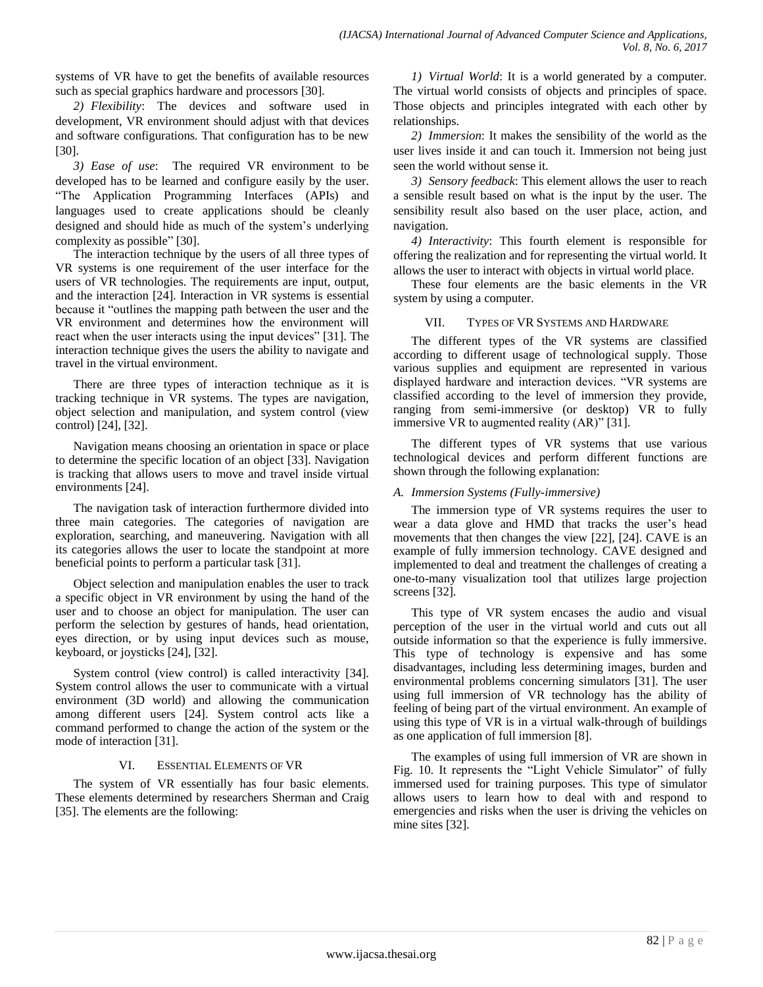systems of VR have to get the benefits of available resources such as special graphics hardware and processors [30].

*2) Flexibility*: The devices and software used in development, VR environment should adjust with that devices and software configurations. That configuration has to be new [30].

*3) Ease of use*: The required VR environment to be developed has to be learned and configure easily by the user. "The Application Programming Interfaces (APIs) and languages used to create applications should be cleanly designed and should hide as much of the system's underlying complexity as possible" [30].

The interaction technique by the users of all three types of VR systems is one requirement of the user interface for the users of VR technologies. The requirements are input, output, and the interaction [24]. Interaction in VR systems is essential because it "outlines the mapping path between the user and the VR environment and determines how the environment will react when the user interacts using the input devices" [31]. The interaction technique gives the users the ability to navigate and travel in the virtual environment.

There are three types of interaction technique as it is tracking technique in VR systems. The types are navigation, object selection and manipulation, and system control (view control) [24], [32].

Navigation means choosing an orientation in space or place to determine the specific location of an object [33]. Navigation is tracking that allows users to move and travel inside virtual environments [24].

The navigation task of interaction furthermore divided into three main categories. The categories of navigation are exploration, searching, and maneuvering. Navigation with all its categories allows the user to locate the standpoint at more beneficial points to perform a particular task [31].

Object selection and manipulation enables the user to track a specific object in VR environment by using the hand of the user and to choose an object for manipulation. The user can perform the selection by gestures of hands, head orientation, eyes direction, or by using input devices such as mouse, keyboard, or joysticks [24], [32].

System control (view control) is called interactivity [34]. System control allows the user to communicate with a virtual environment (3D world) and allowing the communication among different users [24]. System control acts like a command performed to change the action of the system or the mode of interaction [31].

#### VI. ESSENTIAL ELEMENTS OF VR

The system of VR essentially has four basic elements. These elements determined by researchers Sherman and Craig [35]. The elements are the following:

*1) Virtual World*: It is a world generated by a computer. The virtual world consists of objects and principles of space. Those objects and principles integrated with each other by relationships.

*2) Immersion*: It makes the sensibility of the world as the user lives inside it and can touch it. Immersion not being just seen the world without sense it.

*3) Sensory feedback*: This element allows the user to reach a sensible result based on what is the input by the user. The sensibility result also based on the user place, action, and navigation.

*4) Interactivity*: This fourth element is responsible for offering the realization and for representing the virtual world. It allows the user to interact with objects in virtual world place.

These four elements are the basic elements in the VR system by using a computer.

## VII. TYPES OF VR SYSTEMS AND HARDWARE

The different types of the VR systems are classified according to different usage of technological supply. Those various supplies and equipment are represented in various displayed hardware and interaction devices. "VR systems are classified according to the level of immersion they provide, ranging from semi-immersive (or desktop) VR to fully immersive VR to augmented reality (AR)" [31].

The different types of VR systems that use various technological devices and perform different functions are shown through the following explanation:

## *A. Immersion Systems (Fully-immersive)*

The immersion type of VR systems requires the user to wear a data glove and HMD that tracks the user's head movements that then changes the view [22], [24]. CAVE is an example of fully immersion technology. CAVE designed and implemented to deal and treatment the challenges of creating a one-to-many visualization tool that utilizes large projection screens [32].

This type of VR system encases the audio and visual perception of the user in the virtual world and cuts out all outside information so that the experience is fully immersive. This type of technology is expensive and has some disadvantages, including less determining images, burden and environmental problems concerning simulators [31]. The user using full immersion of VR technology has the ability of feeling of being part of the virtual environment. An example of using this type of VR is in a virtual walk-through of buildings as one application of full immersion [8].

The examples of using full immersion of VR are shown in Fig. 10. It represents the "Light Vehicle Simulator" of fully immersed used for training purposes. This type of simulator allows users to learn how to deal with and respond to emergencies and risks when the user is driving the vehicles on mine sites [32].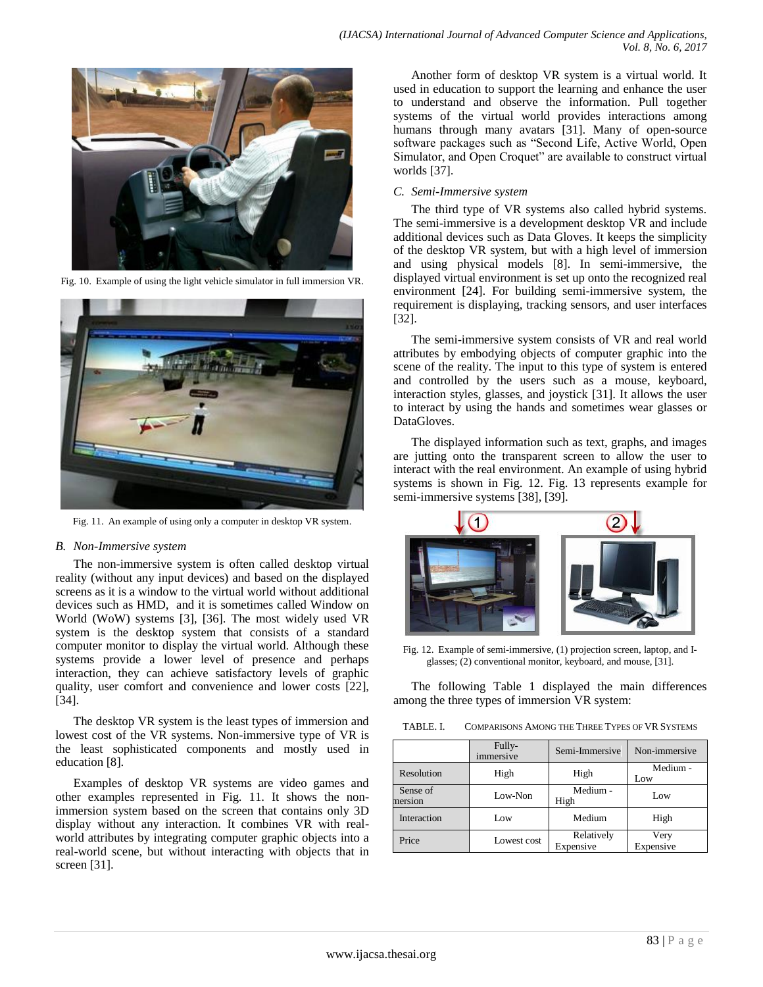

Fig. 10. Example of using the light vehicle simulator in full immersion VR.



Fig. 11. An example of using only a computer in desktop VR system.

#### *B. Non-Immersive system*

The non-immersive system is often called desktop virtual reality (without any input devices) and based on the displayed screens as it is a window to the virtual world without additional devices such as HMD, and it is sometimes called Window on World (WoW) systems [3], [36]. The most widely used VR system is the desktop system that consists of a standard computer monitor to display the virtual world. Although these systems provide a lower level of presence and perhaps interaction, they can achieve satisfactory levels of graphic quality, user comfort and convenience and lower costs [22], [34].

The desktop VR system is the least types of immersion and lowest cost of the VR systems. Non-immersive type of VR is the least sophisticated components and mostly used in education [8].

Examples of desktop VR systems are video games and other examples represented in Fig. 11. It shows the nonimmersion system based on the screen that contains only 3D display without any interaction. It combines VR with realworld attributes by integrating computer graphic objects into a real-world scene, but without interacting with objects that in screen [31].

*(IJACSA) International Journal of Advanced Computer Science and Applications, Vol. 8, No. 6, 2017*

Another form of desktop VR system is a virtual world. It used in education to support the learning and enhance the user to understand and observe the information. Pull together systems of the virtual world provides interactions among humans through many avatars [31]. Many of open-source software packages such as "Second Life, Active World, Open Simulator, and Open Croquet" are available to construct virtual worlds [37].

#### *C. Semi-Immersive system*

The third type of VR systems also called hybrid systems. The semi-immersive is a development desktop VR and include additional devices such as Data Gloves. It keeps the simplicity of the desktop VR system, but with a high level of immersion and using physical models [8]. In semi-immersive, the displayed virtual environment is set up onto the recognized real environment [24]. For building semi-immersive system, the requirement is displaying, tracking sensors, and user interfaces [32].

The semi-immersive system consists of VR and real world attributes by embodying objects of computer graphic into the scene of the reality. The input to this type of system is entered and controlled by the users such as a mouse, keyboard, interaction styles, glasses, and joystick [31]. It allows the user to interact by using the hands and sometimes wear glasses or DataGloves.

The displayed information such as text, graphs, and images are jutting onto the transparent screen to allow the user to interact with the real environment. An example of using hybrid systems is shown in Fig. 12. Fig. 13 represents example for semi-immersive systems [38], [39].



Fig. 12. Example of semi-immersive, (1) projection screen, laptop, and Iglasses; (2) conventional monitor, keyboard, and mouse, [31].

The following Table 1 displayed the main differences among the three types of immersion VR system:

TABLE. I. COMPARISONS AMONG THE THREE TYPES OF VR SYSTEMS

|                     | Fully-<br>immersive | Semi-Immersive          | Non-immersive     |
|---------------------|---------------------|-------------------------|-------------------|
| Resolution          | High                | High                    | Medium -<br>Low   |
| Sense of<br>nersion | Low-Non             | Medium -<br>High        | Low               |
| Interaction         | Low                 | Medium                  | High              |
| Price               | Lowest cost         | Relatively<br>Expensive | Very<br>Expensive |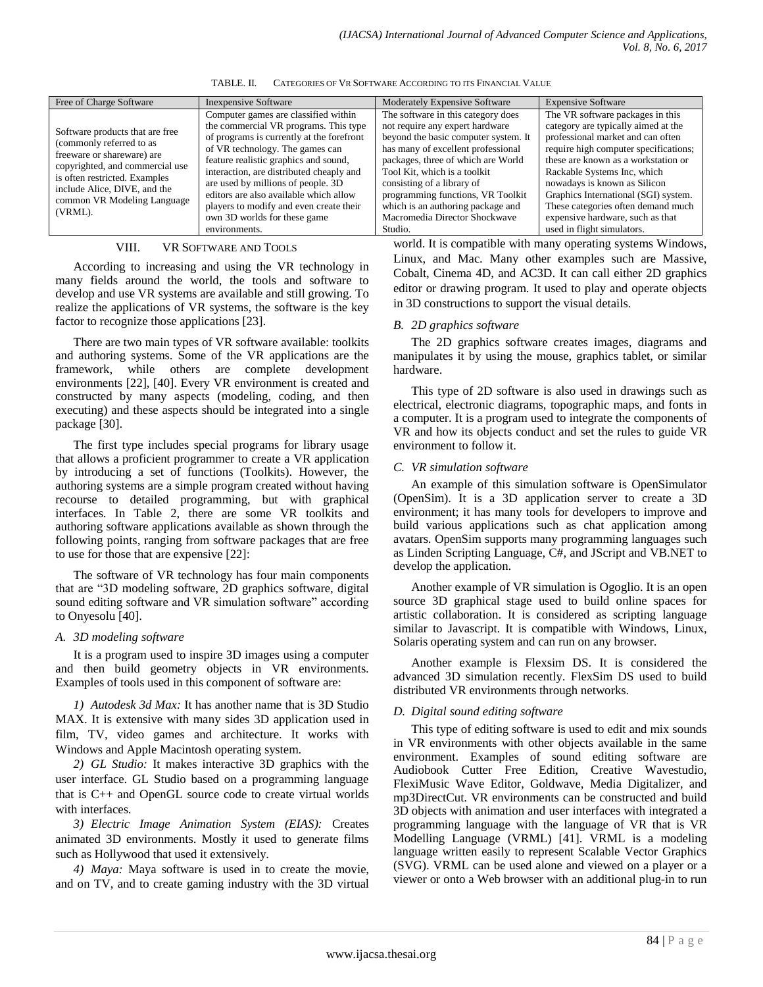| Free of Charge Software                                                                                                                                                                                                                 | <b>Inexpensive Software</b>                                                                                                                                                                                                                                                                                                                                                                                                    | <b>Moderately Expensive Software</b>                                                                                                                                                                                                                                                                                                                                          | <b>Expensive Software</b>                                                                                                                                                                                                                                                                                                                                                                                   |
|-----------------------------------------------------------------------------------------------------------------------------------------------------------------------------------------------------------------------------------------|--------------------------------------------------------------------------------------------------------------------------------------------------------------------------------------------------------------------------------------------------------------------------------------------------------------------------------------------------------------------------------------------------------------------------------|-------------------------------------------------------------------------------------------------------------------------------------------------------------------------------------------------------------------------------------------------------------------------------------------------------------------------------------------------------------------------------|-------------------------------------------------------------------------------------------------------------------------------------------------------------------------------------------------------------------------------------------------------------------------------------------------------------------------------------------------------------------------------------------------------------|
| Software products that are free<br>(commonly referred to as<br>freeware or shareware) are<br>copyrighted, and commercial use<br>is often restricted. Examples<br>include Alice, DIVE, and the<br>common VR Modeling Language<br>(VRML). | Computer games are classified within<br>the commercial VR programs. This type<br>of programs is currently at the forefront<br>of VR technology. The games can<br>feature realistic graphics and sound,<br>interaction, are distributed cheaply and<br>are used by millions of people. 3D<br>editors are also available which allow<br>players to modify and even create their<br>own 3D worlds for these game<br>environments. | The software in this category does<br>not require any expert hardware<br>beyond the basic computer system. It<br>has many of excellent professional<br>packages, three of which are World<br>Tool Kit, which is a toolkit<br>consisting of a library of<br>programming functions, VR Toolkit<br>which is an authoring package and<br>Macromedia Director Shockwave<br>Studio. | The VR software packages in this<br>category are typically aimed at the<br>professional market and can often<br>require high computer specifications;<br>these are known as a workstation or<br>Rackable Systems Inc, which<br>nowadays is known as Silicon<br>Graphics International (SGI) system.<br>These categories often demand much<br>expensive hardware, such as that<br>used in flight simulators. |

TABLE. II. CATEGORIES OF VR SOFTWARE ACCORDING TO ITS FINANCIAL VALUE

## VIII. VR SOFTWARE AND TOOLS

According to increasing and using the VR technology in many fields around the world, the tools and software to develop and use VR systems are available and still growing. To realize the applications of VR systems, the software is the key factor to recognize those applications [23].

There are two main types of VR software available: toolkits and authoring systems. Some of the VR applications are the framework, while others are complete development environments [22], [40]. Every VR environment is created and constructed by many aspects (modeling, coding, and then executing) and these aspects should be integrated into a single package [30].

The first type includes special programs for library usage that allows a proficient programmer to create a VR application by introducing a set of functions (Toolkits). However, the authoring systems are a simple program created without having recourse to detailed programming, but with graphical interfaces. In Table 2, there are some VR toolkits and authoring software applications available as shown through the following points, ranging from software packages that are free to use for those that are expensive [22]:

The software of VR technology has four main components that are "3D modeling software, 2D graphics software, digital sound editing software and VR simulation software" according to Onyesolu [40].

#### *A. 3D modeling software*

It is a program used to inspire 3D images using a computer and then build geometry objects in VR environments. Examples of tools used in this component of software are:

*1) Autodesk 3d Max:* It has another name that is 3D Studio MAX. It is extensive with many sides 3D application used in film, TV, video games and architecture. It works with Windows and Apple Macintosh operating system.

*2) GL Studio:* It makes interactive 3D graphics with the user interface. GL Studio based on a programming language that is C++ and OpenGL source code to create virtual worlds with interfaces.

*3) Electric Image Animation System (EIAS):* Creates animated 3D environments. Mostly it used to generate films such as Hollywood that used it extensively.

*4) Maya:* Maya software is used in to create the movie, and on TV, and to create gaming industry with the 3D virtual world. It is compatible with many operating systems Windows, Linux, and Mac. Many other examples such are Massive, Cobalt, Cinema 4D, and AC3D. It can call either 2D graphics editor or drawing program. It used to play and operate objects in 3D constructions to support the visual details.

#### *B. 2D graphics software*

The 2D graphics software creates images, diagrams and manipulates it by using the mouse, graphics tablet, or similar hardware.

This type of 2D software is also used in drawings such as electrical, electronic diagrams, topographic maps, and fonts in a computer. It is a program used to integrate the components of VR and how its objects conduct and set the rules to guide VR environment to follow it.

#### *C. VR simulation software*

An example of this simulation software is OpenSimulator (OpenSim). It is a 3D application server to create a 3D environment; it has many tools for developers to improve and build various applications such as chat application among avatars. OpenSim supports many programming languages such as Linden Scripting Language, C#, and JScript and VB.NET to develop the application.

Another example of VR simulation is Ogoglio. It is an open source 3D graphical stage used to build online spaces for artistic collaboration. It is considered as scripting language similar to Javascript. It is compatible with Windows, Linux, Solaris operating system and can run on any browser.

Another example is Flexsim DS. It is considered the advanced 3D simulation recently. FlexSim DS used to build distributed VR environments through networks.

## *D. Digital sound editing software*

This type of editing software is used to edit and mix sounds in VR environments with other objects available in the same environment. Examples of sound editing software are Audiobook Cutter Free Edition, Creative Wavestudio, FlexiMusic Wave Editor, Goldwave, Media Digitalizer, and mp3DirectCut. VR environments can be constructed and build 3D objects with animation and user interfaces with integrated a programming language with the language of VR that is VR Modelling Language (VRML) [41]. VRML is a modeling language written easily to represent Scalable Vector Graphics (SVG). VRML can be used alone and viewed on a player or a viewer or onto a Web browser with an additional plug-in to run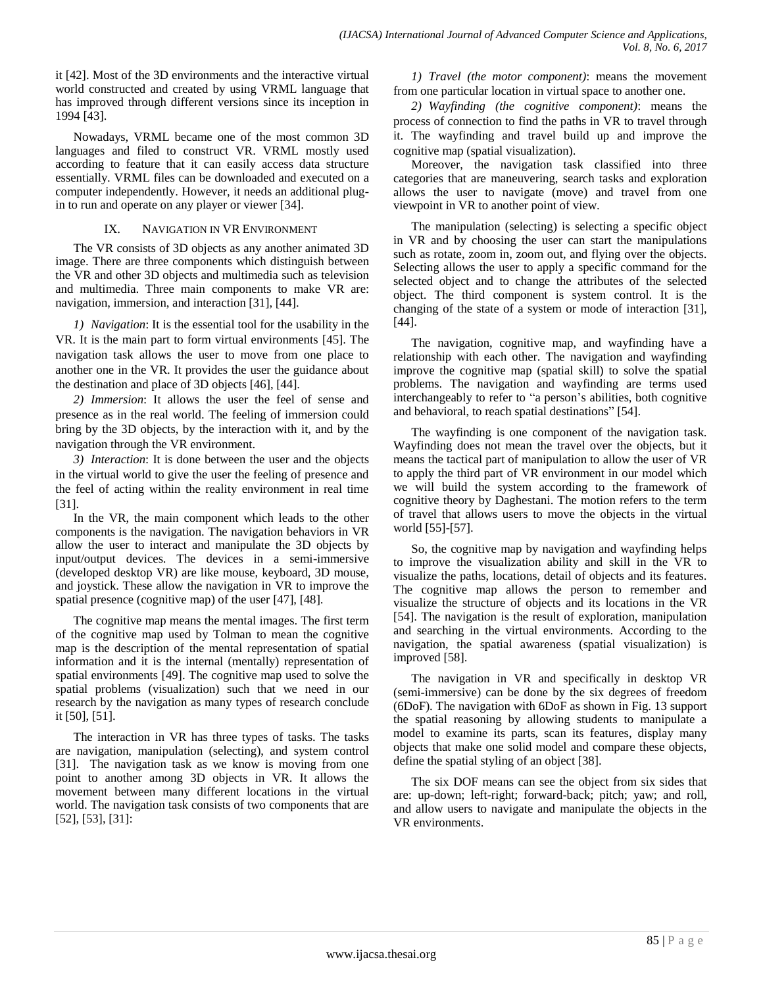it [42]. Most of the 3D environments and the interactive virtual world constructed and created by using VRML language that has improved through different versions since its inception in 1994 [43].

Nowadays, VRML became one of the most common 3D languages and filed to construct VR. VRML mostly used according to feature that it can easily access data structure essentially. VRML files can be downloaded and executed on a computer independently. However, it needs an additional plugin to run and operate on any player or viewer [34].

## IX. NAVIGATION IN VR ENVIRONMENT

The VR consists of 3D objects as any another animated 3D image. There are three components which distinguish between the VR and other 3D objects and multimedia such as television and multimedia. Three main components to make VR are: navigation, immersion, and interaction [31], [44].

*1) Navigation*: It is the essential tool for the usability in the VR. It is the main part to form virtual environments [45]. The navigation task allows the user to move from one place to another one in the VR. It provides the user the guidance about the destination and place of 3D objects [46], [44].

*2) Immersion*: It allows the user the feel of sense and presence as in the real world. The feeling of immersion could bring by the 3D objects, by the interaction with it, and by the navigation through the VR environment.

*3) Interaction*: It is done between the user and the objects in the virtual world to give the user the feeling of presence and the feel of acting within the reality environment in real time [31].

In the VR, the main component which leads to the other components is the navigation. The navigation behaviors in VR allow the user to interact and manipulate the 3D objects by input/output devices. The devices in a semi-immersive (developed desktop VR) are like mouse, keyboard, 3D mouse, and joystick. These allow the navigation in VR to improve the spatial presence (cognitive map) of the user [47], [48].

The cognitive map means the mental images. The first term of the cognitive map used by Tolman to mean the cognitive map is the description of the mental representation of spatial information and it is the internal (mentally) representation of spatial environments [49]. The cognitive map used to solve the spatial problems (visualization) such that we need in our research by the navigation as many types of research conclude it [50], [51].

The interaction in VR has three types of tasks. The tasks are navigation, manipulation (selecting), and system control [31]. The navigation task as we know is moving from one point to another among 3D objects in VR. It allows the movement between many different locations in the virtual world. The navigation task consists of two components that are [52], [53], [31]:

*1) Travel (the motor component)*: means the movement from one particular location in virtual space to another one.

*2) Wayfinding (the cognitive component)*: means the process of connection to find the paths in VR to travel through it. The wayfinding and travel build up and improve the cognitive map (spatial visualization).

Moreover, the navigation task classified into three categories that are maneuvering, search tasks and exploration allows the user to navigate (move) and travel from one viewpoint in VR to another point of view.

The manipulation (selecting) is selecting a specific object in VR and by choosing the user can start the manipulations such as rotate, zoom in, zoom out, and flying over the objects. Selecting allows the user to apply a specific command for the selected object and to change the attributes of the selected object. The third component is system control. It is the changing of the state of a system or mode of interaction [31], [44].

The navigation, cognitive map, and wayfinding have a relationship with each other. The navigation and wayfinding improve the cognitive map (spatial skill) to solve the spatial problems. The navigation and wayfinding are terms used interchangeably to refer to "a person's abilities, both cognitive and behavioral, to reach spatial destinations" [54].

The wayfinding is one component of the navigation task. Wayfinding does not mean the travel over the objects, but it means the tactical part of manipulation to allow the user of VR to apply the third part of VR environment in our model which we will build the system according to the framework of cognitive theory by Daghestani. The motion refers to the term of travel that allows users to move the objects in the virtual world [55]-[57].

So, the cognitive map by navigation and wayfinding helps to improve the visualization ability and skill in the VR to visualize the paths, locations, detail of objects and its features. The cognitive map allows the person to remember and visualize the structure of objects and its locations in the VR [54]. The navigation is the result of exploration, manipulation and searching in the virtual environments. According to the navigation, the spatial awareness (spatial visualization) is improved [58].

The navigation in VR and specifically in desktop VR (semi-immersive) can be done by the six degrees of freedom (6DoF). The navigation with 6DoF as shown in Fig. 13 support the spatial reasoning by allowing students to manipulate a model to examine its parts, scan its features, display many objects that make one solid model and compare these objects, define the spatial styling of an object [38].

The six DOF means can see the object from six sides that are: up-down; left-right; forward-back; pitch; yaw; and roll, and allow users to navigate and manipulate the objects in the VR environments.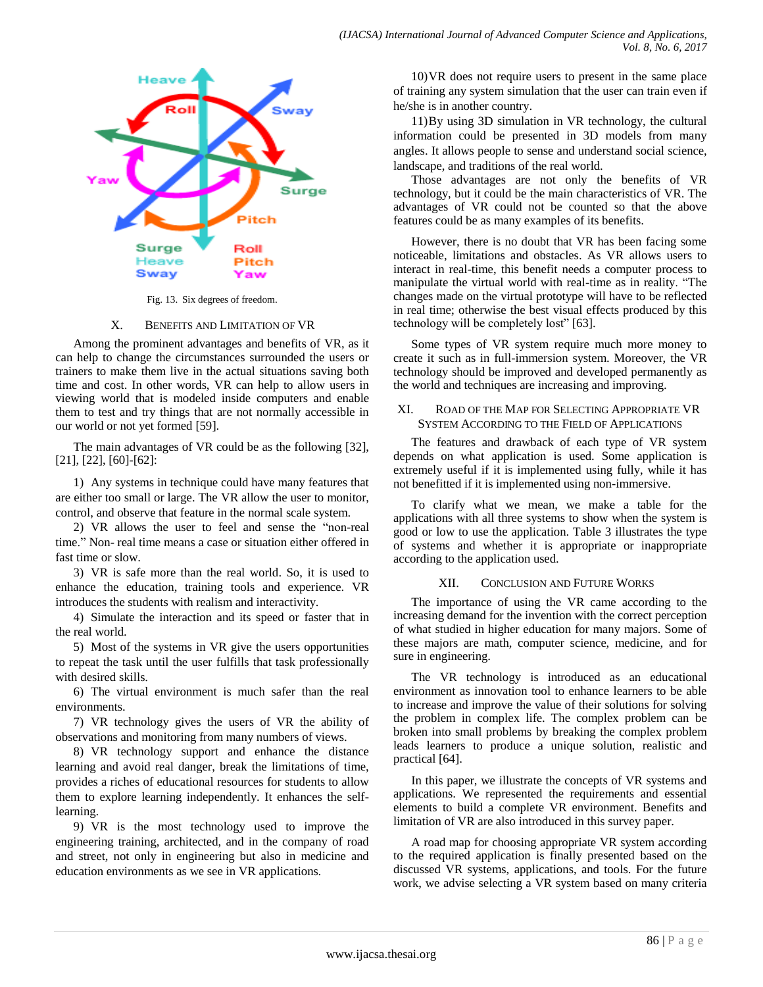

Fig. 13. Six degrees of freedom.

#### X. BENEFITS AND LIMITATION OF VR

Among the prominent advantages and benefits of VR, as it can help to change the circumstances surrounded the users or trainers to make them live in the actual situations saving both time and cost. In other words, VR can help to allow users in viewing world that is modeled inside computers and enable them to test and try things that are not normally accessible in our world or not yet formed [59].

The main advantages of VR could be as the following [32], [21], [22], [60]-[62]:

1) Any systems in technique could have many features that are either too small or large. The VR allow the user to monitor, control, and observe that feature in the normal scale system.

2) VR allows the user to feel and sense the "non-real time." Non- real time means a case or situation either offered in fast time or slow.

3) VR is safe more than the real world. So, it is used to enhance the education, training tools and experience. VR introduces the students with realism and interactivity.

4) Simulate the interaction and its speed or faster that in the real world.

5) Most of the systems in VR give the users opportunities to repeat the task until the user fulfills that task professionally with desired skills.

6) The virtual environment is much safer than the real environments.

7) VR technology gives the users of VR the ability of observations and monitoring from many numbers of views.

8) VR technology support and enhance the distance learning and avoid real danger, break the limitations of time, provides a riches of educational resources for students to allow them to explore learning independently. It enhances the selflearning.

9) VR is the most technology used to improve the engineering training, architected, and in the company of road and street, not only in engineering but also in medicine and education environments as we see in VR applications.

10)VR does not require users to present in the same place of training any system simulation that the user can train even if he/she is in another country.

11)By using 3D simulation in VR technology, the cultural information could be presented in 3D models from many angles. It allows people to sense and understand social science, landscape, and traditions of the real world.

Those advantages are not only the benefits of VR technology, but it could be the main characteristics of VR. The advantages of VR could not be counted so that the above features could be as many examples of its benefits.

However, there is no doubt that VR has been facing some noticeable, limitations and obstacles. As VR allows users to interact in real-time, this benefit needs a computer process to manipulate the virtual world with real-time as in reality. "The changes made on the virtual prototype will have to be reflected in real time; otherwise the best visual effects produced by this technology will be completely lost" [63].

Some types of VR system require much more money to create it such as in full-immersion system. Moreover, the VR technology should be improved and developed permanently as the world and techniques are increasing and improving.

#### XI. ROAD OF THE MAP FOR SELECTING APPROPRIATE VR SYSTEM ACCORDING TO THE FIELD OF APPLICATIONS

The features and drawback of each type of VR system depends on what application is used. Some application is extremely useful if it is implemented using fully, while it has not benefitted if it is implemented using non-immersive.

To clarify what we mean, we make a table for the applications with all three systems to show when the system is good or low to use the application. Table 3 illustrates the type of systems and whether it is appropriate or inappropriate according to the application used.

#### XII. CONCLUSION AND FUTURE WORKS

The importance of using the VR came according to the increasing demand for the invention with the correct perception of what studied in higher education for many majors. Some of these majors are math, computer science, medicine, and for sure in engineering.

The VR technology is introduced as an educational environment as innovation tool to enhance learners to be able to increase and improve the value of their solutions for solving the problem in complex life. The complex problem can be broken into small problems by breaking the complex problem leads learners to produce a unique solution, realistic and practical [64].

In this paper, we illustrate the concepts of VR systems and applications. We represented the requirements and essential elements to build a complete VR environment. Benefits and limitation of VR are also introduced in this survey paper.

A road map for choosing appropriate VR system according to the required application is finally presented based on the discussed VR systems, applications, and tools. For the future work, we advise selecting a VR system based on many criteria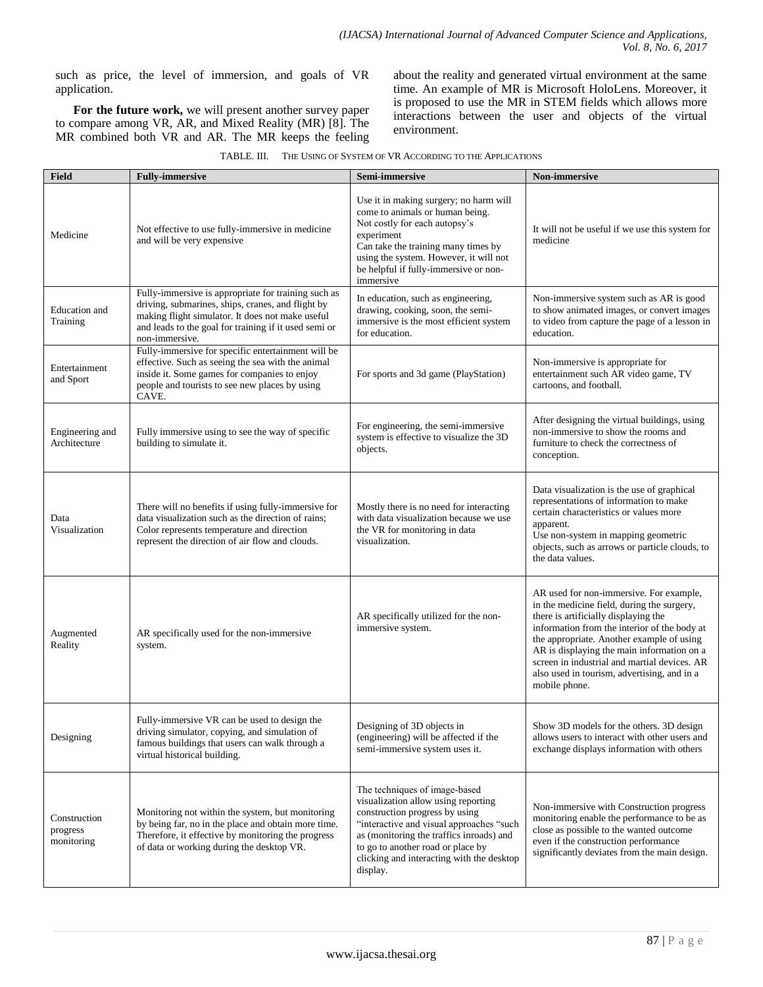such as price, the level of immersion, and goals of VR application.

**For the future work,** we will present another survey paper to compare among VR, AR, and Mixed Reality (MR) [8]. The MR combined both VR and AR. The MR keeps the feeling about the reality and generated virtual environment at the same time. An example of MR is Microsoft HoloLens. Moreover, it is proposed to use the MR in STEM fields which allows more interactions between the user and objects of the virtual environment.

| THE USING OF SYSTEM OF VR ACCORDING TO THE APPLICATIONS<br>TABLE. III. |  |
|------------------------------------------------------------------------|--|
|------------------------------------------------------------------------|--|

| Field                                  | <b>Fully-immersive</b>                                                                                                                                                                                                                  | Semi-immersive                                                                                                                                                                                                                                                                               | <b>Non-immersive</b>                                                                                                                                                                                                                                                                                                                                                                     |
|----------------------------------------|-----------------------------------------------------------------------------------------------------------------------------------------------------------------------------------------------------------------------------------------|----------------------------------------------------------------------------------------------------------------------------------------------------------------------------------------------------------------------------------------------------------------------------------------------|------------------------------------------------------------------------------------------------------------------------------------------------------------------------------------------------------------------------------------------------------------------------------------------------------------------------------------------------------------------------------------------|
| Medicine                               | Not effective to use fully-immersive in medicine<br>and will be very expensive                                                                                                                                                          | Use it in making surgery; no harm will<br>come to animals or human being.<br>Not costly for each autopsy's<br>experiment<br>Can take the training many times by<br>using the system. However, it will not<br>be helpful if fully-immersive or non-<br>immersive                              | It will not be useful if we use this system for<br>medicine                                                                                                                                                                                                                                                                                                                              |
| <b>Education</b> and<br>Training       | Fully-immersive is appropriate for training such as<br>driving, submarines, ships, cranes, and flight by<br>making flight simulator. It does not make useful<br>and leads to the goal for training if it used semi or<br>non-immersive. | In education, such as engineering,<br>drawing, cooking, soon, the semi-<br>immersive is the most efficient system<br>for education.                                                                                                                                                          | Non-immersive system such as AR is good<br>to show animated images, or convert images<br>to video from capture the page of a lesson in<br>education.                                                                                                                                                                                                                                     |
| Entertainment<br>and Sport             | Fully-immersive for specific entertainment will be<br>effective. Such as seeing the sea with the animal<br>inside it. Some games for companies to enjoy<br>people and tourists to see new places by using<br>CAVE.                      | For sports and 3d game (PlayStation)                                                                                                                                                                                                                                                         | Non-immersive is appropriate for<br>entertainment such AR video game, TV<br>cartoons, and football.                                                                                                                                                                                                                                                                                      |
| Engineering and<br>Architecture        | Fully immersive using to see the way of specific<br>building to simulate it.                                                                                                                                                            | For engineering, the semi-immersive<br>system is effective to visualize the 3D<br>objects.                                                                                                                                                                                                   | After designing the virtual buildings, using<br>non-immersive to show the rooms and<br>furniture to check the correctness of<br>conception.                                                                                                                                                                                                                                              |
| Data<br>Visualization                  | There will no benefits if using fully-immersive for<br>data visualization such as the direction of rains;<br>Color represents temperature and direction<br>represent the direction of air flow and clouds.                              | Mostly there is no need for interacting<br>with data visualization because we use<br>the VR for monitoring in data<br>visualization.                                                                                                                                                         | Data visualization is the use of graphical<br>representations of information to make<br>certain characteristics or values more<br>apparent.<br>Use non-system in mapping geometric<br>objects, such as arrows or particle clouds, to<br>the data values.                                                                                                                                 |
| Augmented<br>Reality                   | AR specifically used for the non-immersive<br>system.                                                                                                                                                                                   | AR specifically utilized for the non-<br>immersive system.                                                                                                                                                                                                                                   | AR used for non-immersive. For example,<br>in the medicine field, during the surgery,<br>there is artificially displaying the<br>information from the interior of the body at<br>the appropriate. Another example of using<br>AR is displaying the main information on a<br>screen in industrial and martial devices. AR<br>also used in tourism, advertising, and in a<br>mobile phone. |
| Designing                              | Fully-immersive VR can be used to design the<br>driving simulator, copying, and simulation of<br>famous buildings that users can walk through a<br>virtual historical building.                                                         | Designing of 3D objects in<br>(engineering) will be affected if the<br>semi-immersive system uses it.                                                                                                                                                                                        | Show 3D models for the others. 3D design<br>allows users to interact with other users and<br>exchange displays information with others                                                                                                                                                                                                                                                   |
| Construction<br>progress<br>monitoring | Monitoring not within the system, but monitoring<br>by being far, no in the place and obtain more time.<br>Therefore, it effective by monitoring the progress<br>of data or working during the desktop VR.                              | The techniques of image-based<br>visualization allow using reporting<br>construction progress by using<br>"interactive and visual approaches "such<br>as (monitoring the traffics inroads) and<br>to go to another road or place by<br>clicking and interacting with the desktop<br>display. | Non-immersive with Construction progress<br>monitoring enable the performance to be as<br>close as possible to the wanted outcome<br>even if the construction performance<br>significantly deviates from the main design.                                                                                                                                                                |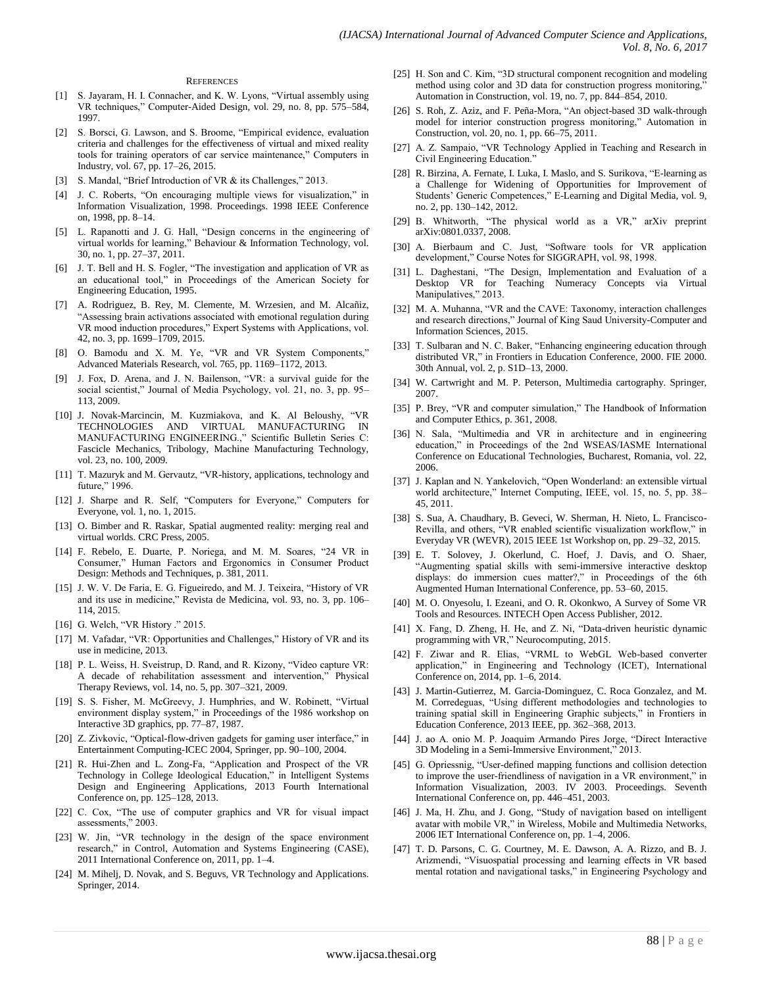#### **REFERENCES**

- [1] S. Jayaram, H. I. Connacher, and K. W. Lyons, "Virtual assembly using VR techniques," Computer-Aided Design, vol. 29, no. 8, pp. 575–584, 1997.
- [2] S. Borsci, G. Lawson, and S. Broome, "Empirical evidence, evaluation criteria and challenges for the effectiveness of virtual and mixed reality tools for training operators of car service maintenance," Computers in Industry, vol. 67, pp. 17–26, 2015.
- [3] S. Mandal, "Brief Introduction of VR & its Challenges," 2013.
- [4] J. C. Roberts, "On encouraging multiple views for visualization," in Information Visualization, 1998. Proceedings. 1998 IEEE Conference on, 1998, pp. 8–14.
- L. Rapanotti and J. G. Hall, "Design concerns in the engineering of virtual worlds for learning," Behaviour & Information Technology, vol. 30, no. 1, pp. 27–37, 2011.
- [6] J. T. Bell and H. S. Fogler, "The investigation and application of VR as an educational tool," in Proceedings of the American Society for Engineering Education, 1995.
- [7] A. Rodriguez, B. Rey, M. Clemente, M. Wrzesien, and M. Alcañiz, "Assessing brain activations associated with emotional regulation during VR mood induction procedures," Expert Systems with Applications, vol. 42, no. 3, pp. 1699–1709, 2015.
- [8] O. Bamodu and X. M. Ye, "VR and VR System Components," Advanced Materials Research, vol. 765, pp. 1169–1172, 2013.
- [9] J. Fox, D. Arena, and J. N. Bailenson, "VR: a survival guide for the social scientist," Journal of Media Psychology, vol. 21, no. 3, pp. 95– 113, 2009.
- [10] J. Novak-Marcincin, M. Kuzmiakova, and K. Al Beloushy, "VR TECHNOLOGIES AND VIRTUAL MANUFACTURING IN MANUFACTURING ENGINEERING.," Scientific Bulletin Series C: Fascicle Mechanics, Tribology, Machine Manufacturing Technology, vol. 23, no. 100, 2009.
- [11] T. Mazuryk and M. Gervautz, "VR-history, applications, technology and future," 1996.
- [12] J. Sharpe and R. Self, "Computers for Everyone," Computers for Everyone, vol. 1, no. 1, 2015.
- [13] O. Bimber and R. Raskar, Spatial augmented reality: merging real and virtual worlds. CRC Press, 2005.
- [14] F. Rebelo, E. Duarte, P. Noriega, and M. M. Soares, "24 VR in Consumer," Human Factors and Ergonomics in Consumer Product Design: Methods and Techniques, p. 381, 2011.
- [15] J. W. V. De Faria, E. G. Figueiredo, and M. J. Teixeira, "History of VR and its use in medicine," Revista de Medicina, vol. 93, no. 3, pp. 106– 114, 2015.
- [16] G. Welch, "VR History ." 2015.
- [17] M. Vafadar, "VR: Opportunities and Challenges," History of VR and its use in medicine, 2013.
- [18] P. L. Weiss, H. Sveistrup, D. Rand, and R. Kizony, "Video capture VR: A decade of rehabilitation assessment and intervention," Physical Therapy Reviews, vol. 14, no. 5, pp. 307–321, 2009.
- [19] S. S. Fisher, M. McGreevy, J. Humphries, and W. Robinett, "Virtual environment display system," in Proceedings of the 1986 workshop on Interactive 3D graphics, pp. 77–87, 1987.
- [20] Z. Zivkovic, "Optical-flow-driven gadgets for gaming user interface," in Entertainment Computing-ICEC 2004, Springer, pp. 90–100, 2004.
- [21] R. Hui-Zhen and L. Zong-Fa, "Application and Prospect of the VR Technology in College Ideological Education," in Intelligent Systems Design and Engineering Applications, 2013 Fourth International Conference on, pp. 125–128, 2013.
- [22] C. Cox, "The use of computer graphics and VR for visual impact assessments," 2003.
- [23] W. Jin, "VR technology in the design of the space environment research," in Control, Automation and Systems Engineering (CASE), 2011 International Conference on, 2011, pp. 1–4.
- [24] M. Mihelj, D. Novak, and S. Beguvs, VR Technology and Applications. Springer, 2014.
- [25] H. Son and C. Kim, "3D structural component recognition and modeling method using color and 3D data for construction progress monitoring, Automation in Construction, vol. 19, no. 7, pp. 844–854, 2010.
- [26] S. Roh, Z. Aziz, and F. Peña-Mora, "An object-based 3D walk-through model for interior construction progress monitoring," Automation in Construction, vol. 20, no. 1, pp. 66–75, 2011.
- [27] A. Z. Sampaio, "VR Technology Applied in Teaching and Research in Civil Engineering Education."
- [28] R. Birzina, A. Fernate, I. Luka, I. Maslo, and S. Surikova, "E-learning as a Challenge for Widening of Opportunities for Improvement of Students' Generic Competences," E-Learning and Digital Media, vol. 9, no. 2, pp. 130–142, 2012.
- [29] B. Whitworth, "The physical world as a VR," arXiv preprint arXiv:0801.0337, 2008.
- [30] A. Bierbaum and C. Just, "Software tools for VR application development," Course Notes for SIGGRAPH, vol. 98, 1998.
- [31] L. Daghestani, "The Design, Implementation and Evaluation of a Desktop VR for Teaching Numeracy Concepts via Virtual Manipulatives," 2013.
- [32] M. A. Muhanna, "VR and the CAVE: Taxonomy, interaction challenges and research directions," Journal of King Saud University-Computer and Information Sciences, 2015.
- [33] T. Sulbaran and N. C. Baker, "Enhancing engineering education through distributed VR," in Frontiers in Education Conference, 2000. FIE 2000. 30th Annual, vol. 2, p. S1D–13, 2000.
- [34] W. Cartwright and M. P. Peterson, Multimedia cartography. Springer, 2007.
- [35] P. Brey, "VR and computer simulation," The Handbook of Information and Computer Ethics, p. 361, 2008.
- [36] N. Sala, "Multimedia and VR in architecture and in engineering education," in Proceedings of the 2nd WSEAS/IASME International Conference on Educational Technologies, Bucharest, Romania, vol. 22, 2006.
- [37] J. Kaplan and N. Yankelovich, "Open Wonderland: an extensible virtual world architecture," Internet Computing, IEEE, vol. 15, no. 5, pp. 38– 45, 2011.
- [38] S. Sua, A. Chaudhary, B. Geveci, W. Sherman, H. Nieto, L. Francisco-Revilla, and others, "VR enabled scientific visualization workflow," in Everyday VR (WEVR), 2015 IEEE 1st Workshop on, pp. 29–32, 2015.
- [39] E. T. Solovey, J. Okerlund, C. Hoef, J. Davis, and O. Shaer, "Augmenting spatial skills with semi-immersive interactive desktop displays: do immersion cues matter?," in Proceedings of the 6th Augmented Human International Conference, pp. 53–60, 2015.
- [40] M. O. Onyesolu, I. Ezeani, and O. R. Okonkwo, A Survey of Some VR Tools and Resources. INTECH Open Access Publisher, 2012.
- [41] X. Fang, D. Zheng, H. He, and Z. Ni, "Data-driven heuristic dynamic programming with VR," Neurocomputing, 2015.
- [42] F. Ziwar and R. Elias, "VRML to WebGL Web-based converter application," in Engineering and Technology (ICET), International Conference on, 2014, pp. 1–6, 2014.
- [43] J. Martin-Gutierrez, M. Garcia-Dominguez, C. Roca Gonzalez, and M. M. Corredeguas, "Using different methodologies and technologies to training spatial skill in Engineering Graphic subjects," in Frontiers in Education Conference, 2013 IEEE, pp. 362–368, 2013.
- [44] J. ao A. onio M. P. Joaquim Armando Pires Jorge, "Direct Interactive 3D Modeling in a Semi-Immersive Environment," 2013.
- [45] G. Opriessnig, "User-defined mapping functions and collision detection to improve the user-friendliness of navigation in a VR environment," in Information Visualization, 2003. IV 2003. Proceedings. Seventh International Conference on, pp. 446–451, 2003.
- [46] J. Ma, H. Zhu, and J. Gong, "Study of navigation based on intelligent avatar with mobile VR," in Wireless, Mobile and Multimedia Networks, 2006 IET International Conference on, pp. 1–4, 2006.
- [47] T. D. Parsons, C. G. Courtney, M. E. Dawson, A. A. Rizzo, and B. J. Arizmendi, "Visuospatial processing and learning effects in VR based mental rotation and navigational tasks," in Engineering Psychology and